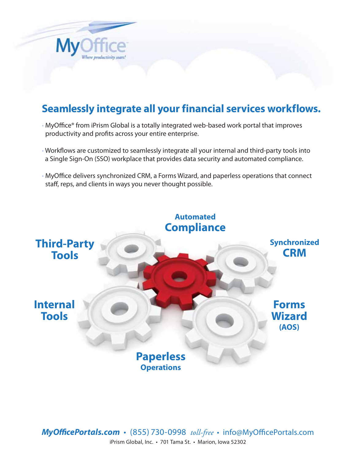

# **Seamlessly integrate all your financial services workflows.**

- MyOffice® from iPrism Global is a totally integrated web-based work portal that improves productivity and profits across your entire enterprise.
- Workflows are customized to seamlessly integrate all your internal and third-party tools into a Single Sign-On (SSO) workplace that provides data security and automated compliance.
- MyOffice delivers synchronized CRM, a Forms Wizard, and paperless operations that connect staff, reps, and clients in ways you never thought possible.



*MyOfficePortals.com* • (855) 730-0998 *toll-free* • info@MyOfficePortals.com iPrism Global, Inc. • 701 Tama St. • Marion, Iowa 52302